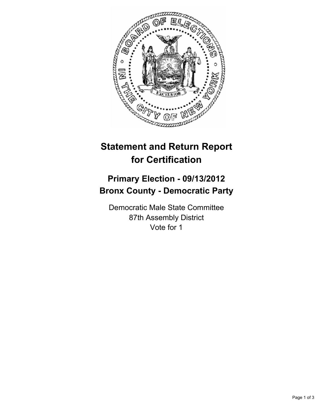

## **Statement and Return Report for Certification**

## **Primary Election - 09/13/2012 Bronx County - Democratic Party**

Democratic Male State Committee 87th Assembly District Vote for 1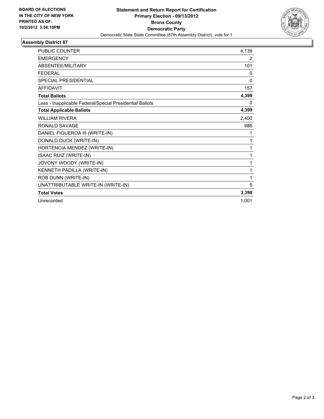

## **Assembly District 87**

| PUBLIC COUNTER                                           | 4,139        |
|----------------------------------------------------------|--------------|
| <b>EMERGENCY</b>                                         | 2            |
| ABSENTEE/MILITARY                                        | 101          |
| <b>FEDERAL</b>                                           | 0            |
| <b>SPECIAL PRESIDENTIAL</b>                              | $\mathbf{0}$ |
| <b>AFFIDAVIT</b>                                         | 157          |
| <b>Total Ballots</b>                                     | 4,399        |
| Less - Inapplicable Federal/Special Presidential Ballots | 0            |
| <b>Total Applicable Ballots</b>                          | 4,399        |
| <b>WILLIAM RIVERA</b>                                    | 2,400        |
| <b>RONALD SAVAGE</b>                                     | 986          |
| DANIEL FIGUEROA III (WRITE-IN)                           | 1            |
| DONALD DUCK (WRITE-IN)                                   | 1            |
| HORTENCIA MENDEZ (WRITE-IN)                              | 1            |
| <b>ISAAC RUIZ (WRITE-IN)</b>                             | 1            |
| JOVONY WOODY (WRITE-IN)                                  | 1            |
| KENNETH PADILLA (WRITE-IN)                               | 1            |
| ROB DUNN (WRITE-IN)                                      | 1            |
| UNATTRIBUTABLE WRITE-IN (WRITE-IN)                       | 5            |
| <b>Total Votes</b>                                       | 3,398        |
| Unrecorded                                               | 1,001        |